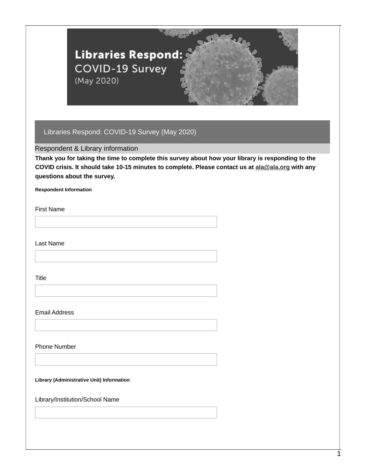

Respondent & Library information

**Thank you for taking the time to complete this survey about how your library is responding to the COVID crisis. It should take 10-15 minutes to complete. Please contact us at [ala@ala.org](mailto:ala@ala.org?subject=ALA+COVID-19+Survey+Question%22) with any questions about the survey.**

**Respondent Information**

First Name

Last Name

Title

Email Address

Phone Number

**Library (Administrative Unit) Information**

Library/Institution/School Name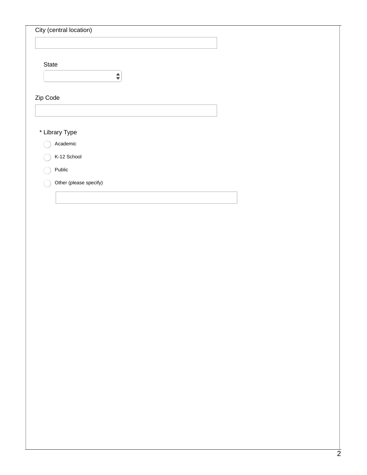| City (central location)<br>State<br>$\hat{\mathbf{z}}$<br>Academic<br>K-12 School<br>Public<br>Other (please specify) |  |
|-----------------------------------------------------------------------------------------------------------------------|--|
|                                                                                                                       |  |
| Zip Code<br>* Library Type                                                                                            |  |
|                                                                                                                       |  |
|                                                                                                                       |  |
|                                                                                                                       |  |
|                                                                                                                       |  |
|                                                                                                                       |  |
|                                                                                                                       |  |
|                                                                                                                       |  |
|                                                                                                                       |  |
|                                                                                                                       |  |
|                                                                                                                       |  |
|                                                                                                                       |  |
|                                                                                                                       |  |
|                                                                                                                       |  |
|                                                                                                                       |  |
|                                                                                                                       |  |
|                                                                                                                       |  |
|                                                                                                                       |  |
|                                                                                                                       |  |
|                                                                                                                       |  |
|                                                                                                                       |  |
|                                                                                                                       |  |
|                                                                                                                       |  |
|                                                                                                                       |  |
|                                                                                                                       |  |
|                                                                                                                       |  |
|                                                                                                                       |  |
|                                                                                                                       |  |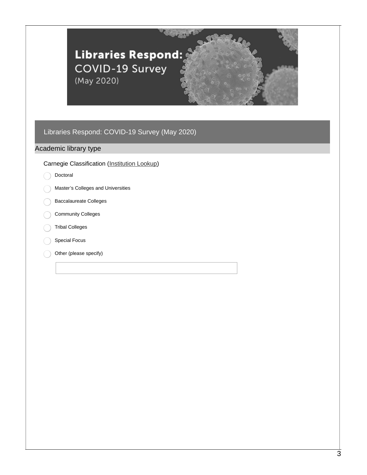

### Academic library type

#### Carnegie Classification [\(Institution](https://carnegieclassifications.iu.edu/lookup/lookup.php) Lookup)

- Doctoral
- Master's Colleges and Universities
- Baccalaureate Colleges
- Community Colleges
- Tribal Colleges
- Special Focus
- Other (please specify)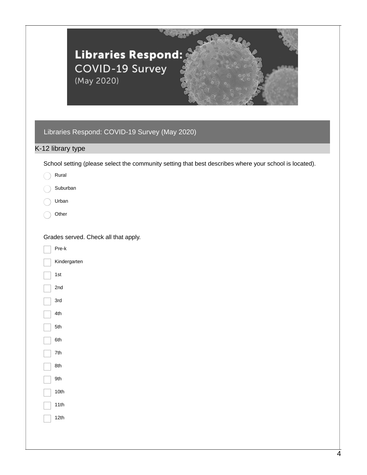|                                                                                                                          | Libraries Respond:<br>COVID-19 Survey<br>(May 2020)<br>Libraries Respond: COVID-19 Survey (May 2020)   |
|--------------------------------------------------------------------------------------------------------------------------|--------------------------------------------------------------------------------------------------------|
| K-12 library type                                                                                                        |                                                                                                        |
|                                                                                                                          |                                                                                                        |
| Rural                                                                                                                    | School setting (please select the community setting that best describes where your school is located). |
| Suburban                                                                                                                 |                                                                                                        |
| Urban                                                                                                                    |                                                                                                        |
| Other                                                                                                                    |                                                                                                        |
| Pre-k<br>Kindergarten<br>1st<br>2nd<br>$\overline{\phantom{0}}$<br>3rd<br>4th<br>5th<br>6th<br>7th<br>8th<br>9th<br>10th |                                                                                                        |
| $11th$                                                                                                                   |                                                                                                        |
| 12th                                                                                                                     |                                                                                                        |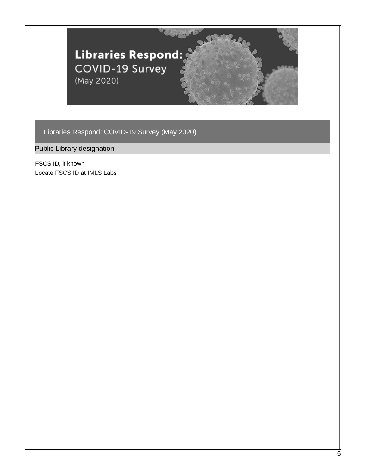

Public Library designation

FSCS ID, if known Locate **[FSCS](https://www.techsoup.org/support/articles-and-how-tos/how-to-find-your-fscs-id-for-your-public-library) ID** at **[IMLS](https://www.imls.gov/labs)** Labs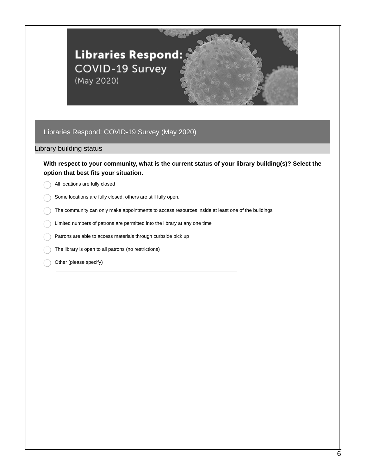

#### Library building status

### **With respect to your community, what is the current status of your library building(s)? Select the option that best fits your situation.**

All locations are fully closed

Some locations are fully closed, others are still fully open.

The community can only make appointments to access resources inside at least one of the buildings

Limited numbers of patrons are permitted into the library at any one time

Patrons are able to access materials through curbside pick up

The library is open to all patrons (no restrictions)

Other (please specify)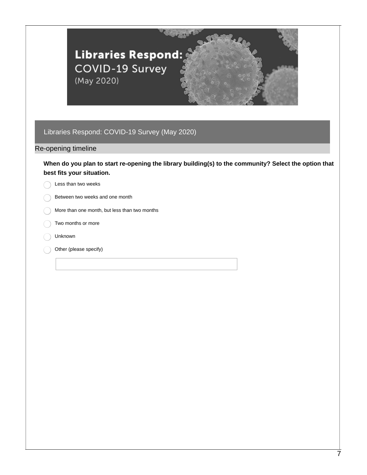

#### Re-opening timeline

**When do you plan to start re-opening the library building(s) to the community? Select the option that best fits your situation.**

Less than two weeks

- Between two weeks and one month
- More than one month, but less than two months
- Two months or more
- Unknown
- Other (please specify)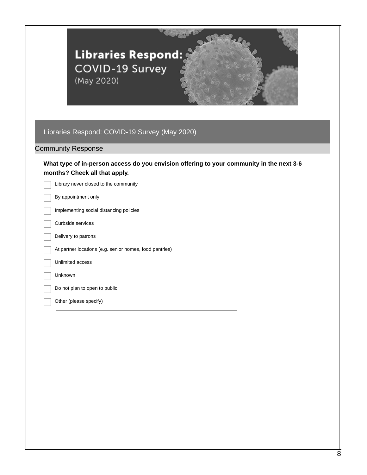| Libraries Respond:<br>COVID-19 Survey<br>(May 2020)                                                                       |  |
|---------------------------------------------------------------------------------------------------------------------------|--|
|                                                                                                                           |  |
| Libraries Respond: COVID-19 Survey (May 2020)                                                                             |  |
| <b>Community Response</b>                                                                                                 |  |
| What type of in-person access do you envision offering to your community in the next 3-6<br>months? Check all that apply. |  |
| Library never closed to the community                                                                                     |  |
| By appointment only                                                                                                       |  |
| Implementing social distancing policies                                                                                   |  |
| Curbside services                                                                                                         |  |
| Delivery to patrons                                                                                                       |  |
| At partner locations (e.g. senior homes, food pantries)                                                                   |  |
| Unlimited access                                                                                                          |  |
| Unknown                                                                                                                   |  |
| Do not plan to open to public                                                                                             |  |
| Other (please specify)                                                                                                    |  |
|                                                                                                                           |  |
|                                                                                                                           |  |
|                                                                                                                           |  |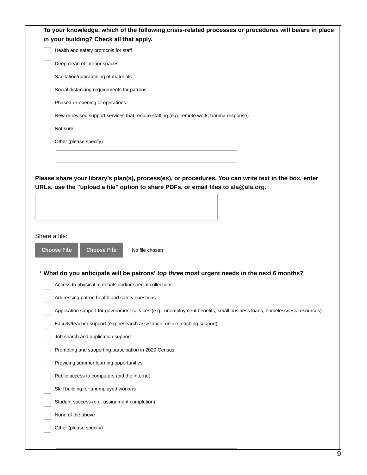| To your knowledge, which of the following crisis-related processes or procedures will be/are in place                   |
|-------------------------------------------------------------------------------------------------------------------------|
| in your building? Check all that apply.                                                                                 |
| Health and safety protocols for staff                                                                                   |
| Deep clean of interior spaces                                                                                           |
| Sanitation/quarantining of materials                                                                                    |
| Social distancing requirements for patrons                                                                              |
| Phased re-opening of operations                                                                                         |
| New or revised support services that require staffing (e.g. remote work, trauma response)                               |
| Not sure                                                                                                                |
| Other (please specify)                                                                                                  |
|                                                                                                                         |
|                                                                                                                         |
| Please share your library's plan(s), process(es), or procedures. You can write text in the box, enter                   |
| URLs, use the "upload a file" option to share PDFs, or email files to ala@ala.org.                                      |
|                                                                                                                         |
|                                                                                                                         |
|                                                                                                                         |
| Share a file:                                                                                                           |
| <b>Choose File</b><br><b>Choose File</b><br>No file chosen                                                              |
|                                                                                                                         |
| * What do you anticipate will be patrons' top three most urgent needs in the next 6 months?                             |
| Access to physical materials and/or special collections                                                                 |
| Addressing patron health and safety questions                                                                           |
| Application support for government services (e.g., unemployment benefits, small business loans, homelessness resources) |
| Faculty/teacher support (e.g. research assistance, online teaching support)                                             |
| Job search and application support                                                                                      |
|                                                                                                                         |
| Promoting and supporting participation in 2020 Census                                                                   |
| Providing summer learning opportunities                                                                                 |
| Public access to computers and the internet                                                                             |
| Skill building for unemployed workers                                                                                   |
| Student success (e.g. assignment completion)                                                                            |
| None of the above                                                                                                       |
| Other (please specify)                                                                                                  |
|                                                                                                                         |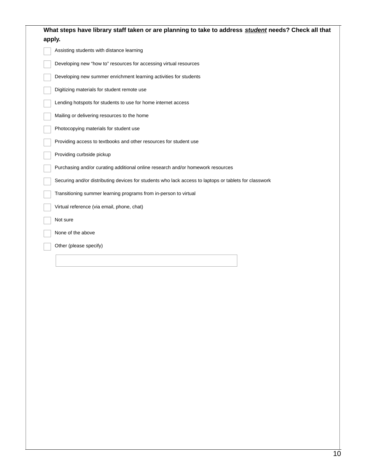| What steps have library staff taken or are planning to take to address student needs? Check all that<br>apply. |
|----------------------------------------------------------------------------------------------------------------|
| Assisting students with distance learning                                                                      |
| Developing new "how to" resources for accessing virtual resources                                              |
| Developing new summer enrichment learning activities for students                                              |
| Digitizing materials for student remote use                                                                    |
| Lending hotspots for students to use for home internet access                                                  |
| Mailing or delivering resources to the home                                                                    |
| Photocopying materials for student use                                                                         |
| Providing access to textbooks and other resources for student use                                              |
| Providing curbside pickup                                                                                      |
| Purchasing and/or curating additional online research and/or homework resources                                |
| Securing and/or distributing devices for students who lack access to laptops or tablets for classwork          |
| Transitioning summer learning programs from in-person to virtual                                               |
| Virtual reference (via email, phone, chat)                                                                     |
| Not sure                                                                                                       |
| None of the above                                                                                              |
| Other (please specify)                                                                                         |
|                                                                                                                |
|                                                                                                                |
|                                                                                                                |
|                                                                                                                |
|                                                                                                                |
|                                                                                                                |
|                                                                                                                |
|                                                                                                                |
|                                                                                                                |
|                                                                                                                |
|                                                                                                                |
|                                                                                                                |
|                                                                                                                |
|                                                                                                                |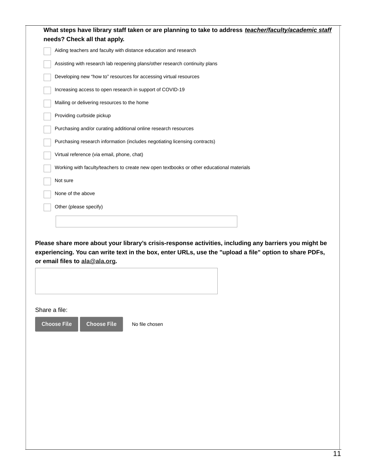|                                     | needs? Check all that apply.                                                                                                                                                                                     |                |  |  |
|-------------------------------------|------------------------------------------------------------------------------------------------------------------------------------------------------------------------------------------------------------------|----------------|--|--|
|                                     | Aiding teachers and faculty with distance education and research                                                                                                                                                 |                |  |  |
|                                     | Assisting with research lab reopening plans/other research continuity plans                                                                                                                                      |                |  |  |
|                                     | Developing new "how to" resources for accessing virtual resources                                                                                                                                                |                |  |  |
|                                     | Increasing access to open research in support of COVID-19                                                                                                                                                        |                |  |  |
|                                     | Mailing or delivering resources to the home                                                                                                                                                                      |                |  |  |
|                                     | Providing curbside pickup                                                                                                                                                                                        |                |  |  |
|                                     | Purchasing and/or curating additional online research resources                                                                                                                                                  |                |  |  |
|                                     | Purchasing research information (includes negotiating licensing contracts)                                                                                                                                       |                |  |  |
|                                     | Virtual reference (via email, phone, chat)                                                                                                                                                                       |                |  |  |
|                                     | Working with faculty/teachers to create new open textbooks or other educational materials                                                                                                                        |                |  |  |
| Not sure                            |                                                                                                                                                                                                                  |                |  |  |
| None of the above                   |                                                                                                                                                                                                                  |                |  |  |
|                                     | Other (please specify)                                                                                                                                                                                           |                |  |  |
|                                     | Please share more about your library's crisis-response activities, including any barriers you might be<br>experiencing. You can write text in the box, enter URLs, use the "upload a file" option to share PDFs, |                |  |  |
|                                     | or email files to ala@ala.org.                                                                                                                                                                                   |                |  |  |
|                                     |                                                                                                                                                                                                                  |                |  |  |
|                                     |                                                                                                                                                                                                                  |                |  |  |
|                                     |                                                                                                                                                                                                                  |                |  |  |
| Share a file:<br><b>Choose File</b> | <b>Choose File</b>                                                                                                                                                                                               | No file chosen |  |  |
|                                     |                                                                                                                                                                                                                  |                |  |  |
|                                     |                                                                                                                                                                                                                  |                |  |  |
|                                     |                                                                                                                                                                                                                  |                |  |  |
|                                     |                                                                                                                                                                                                                  |                |  |  |
|                                     |                                                                                                                                                                                                                  |                |  |  |
|                                     |                                                                                                                                                                                                                  |                |  |  |
|                                     |                                                                                                                                                                                                                  |                |  |  |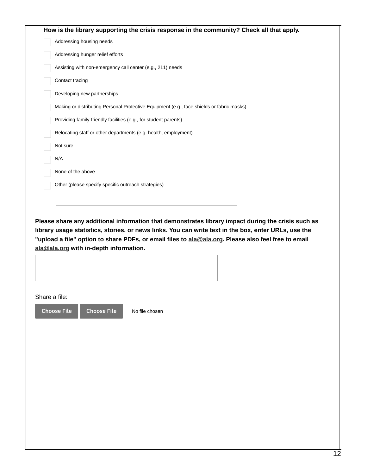| Addressing housing needs<br>Addressing hunger relief efforts<br>Assisting with non-emergency call center (e.g., 211) needs<br>Contact tracing<br>Developing new partnerships<br>Making or distributing Personal Protective Equipment (e.g., face shields or fabric masks)<br>Providing family-friendly facilities (e.g., for student parents)<br>Relocating staff or other departments (e.g. health, employment)<br>Not sure<br>N/A<br>None of the above<br>Other (please specify specific outreach strategies)<br>Please share any additional information that demonstrates library impact during the crisis such as<br>library usage statistics, stories, or news links. You can write text in the box, enter URLs, use the<br>"upload a file" option to share PDFs, or email files to ala@ala.org. Please also feel free to email<br>ala@ala.org with in-depth information.<br>Share a file:<br><b>Choose File</b><br><b>Choose File</b><br>No file chosen |  | How is the library supporting the crisis response in the community? Check all that apply. |
|---------------------------------------------------------------------------------------------------------------------------------------------------------------------------------------------------------------------------------------------------------------------------------------------------------------------------------------------------------------------------------------------------------------------------------------------------------------------------------------------------------------------------------------------------------------------------------------------------------------------------------------------------------------------------------------------------------------------------------------------------------------------------------------------------------------------------------------------------------------------------------------------------------------------------------------------------------------|--|-------------------------------------------------------------------------------------------|
|                                                                                                                                                                                                                                                                                                                                                                                                                                                                                                                                                                                                                                                                                                                                                                                                                                                                                                                                                               |  |                                                                                           |
|                                                                                                                                                                                                                                                                                                                                                                                                                                                                                                                                                                                                                                                                                                                                                                                                                                                                                                                                                               |  |                                                                                           |
|                                                                                                                                                                                                                                                                                                                                                                                                                                                                                                                                                                                                                                                                                                                                                                                                                                                                                                                                                               |  |                                                                                           |
|                                                                                                                                                                                                                                                                                                                                                                                                                                                                                                                                                                                                                                                                                                                                                                                                                                                                                                                                                               |  |                                                                                           |
|                                                                                                                                                                                                                                                                                                                                                                                                                                                                                                                                                                                                                                                                                                                                                                                                                                                                                                                                                               |  |                                                                                           |
|                                                                                                                                                                                                                                                                                                                                                                                                                                                                                                                                                                                                                                                                                                                                                                                                                                                                                                                                                               |  |                                                                                           |
|                                                                                                                                                                                                                                                                                                                                                                                                                                                                                                                                                                                                                                                                                                                                                                                                                                                                                                                                                               |  |                                                                                           |
|                                                                                                                                                                                                                                                                                                                                                                                                                                                                                                                                                                                                                                                                                                                                                                                                                                                                                                                                                               |  |                                                                                           |
|                                                                                                                                                                                                                                                                                                                                                                                                                                                                                                                                                                                                                                                                                                                                                                                                                                                                                                                                                               |  |                                                                                           |
|                                                                                                                                                                                                                                                                                                                                                                                                                                                                                                                                                                                                                                                                                                                                                                                                                                                                                                                                                               |  |                                                                                           |
|                                                                                                                                                                                                                                                                                                                                                                                                                                                                                                                                                                                                                                                                                                                                                                                                                                                                                                                                                               |  |                                                                                           |
|                                                                                                                                                                                                                                                                                                                                                                                                                                                                                                                                                                                                                                                                                                                                                                                                                                                                                                                                                               |  |                                                                                           |
|                                                                                                                                                                                                                                                                                                                                                                                                                                                                                                                                                                                                                                                                                                                                                                                                                                                                                                                                                               |  |                                                                                           |
|                                                                                                                                                                                                                                                                                                                                                                                                                                                                                                                                                                                                                                                                                                                                                                                                                                                                                                                                                               |  |                                                                                           |
|                                                                                                                                                                                                                                                                                                                                                                                                                                                                                                                                                                                                                                                                                                                                                                                                                                                                                                                                                               |  |                                                                                           |
|                                                                                                                                                                                                                                                                                                                                                                                                                                                                                                                                                                                                                                                                                                                                                                                                                                                                                                                                                               |  |                                                                                           |
|                                                                                                                                                                                                                                                                                                                                                                                                                                                                                                                                                                                                                                                                                                                                                                                                                                                                                                                                                               |  |                                                                                           |
|                                                                                                                                                                                                                                                                                                                                                                                                                                                                                                                                                                                                                                                                                                                                                                                                                                                                                                                                                               |  |                                                                                           |
|                                                                                                                                                                                                                                                                                                                                                                                                                                                                                                                                                                                                                                                                                                                                                                                                                                                                                                                                                               |  |                                                                                           |
|                                                                                                                                                                                                                                                                                                                                                                                                                                                                                                                                                                                                                                                                                                                                                                                                                                                                                                                                                               |  |                                                                                           |
|                                                                                                                                                                                                                                                                                                                                                                                                                                                                                                                                                                                                                                                                                                                                                                                                                                                                                                                                                               |  |                                                                                           |
|                                                                                                                                                                                                                                                                                                                                                                                                                                                                                                                                                                                                                                                                                                                                                                                                                                                                                                                                                               |  |                                                                                           |
|                                                                                                                                                                                                                                                                                                                                                                                                                                                                                                                                                                                                                                                                                                                                                                                                                                                                                                                                                               |  |                                                                                           |
|                                                                                                                                                                                                                                                                                                                                                                                                                                                                                                                                                                                                                                                                                                                                                                                                                                                                                                                                                               |  |                                                                                           |
|                                                                                                                                                                                                                                                                                                                                                                                                                                                                                                                                                                                                                                                                                                                                                                                                                                                                                                                                                               |  |                                                                                           |
|                                                                                                                                                                                                                                                                                                                                                                                                                                                                                                                                                                                                                                                                                                                                                                                                                                                                                                                                                               |  |                                                                                           |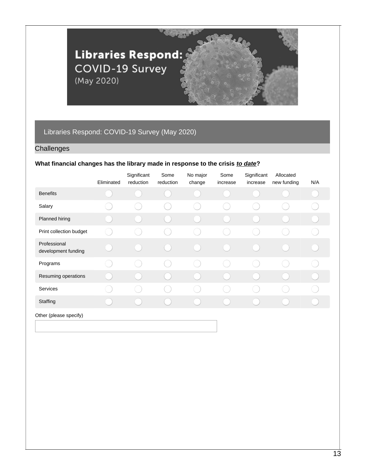

### **Challenges**

#### **What financial changes has the library made in response to the crisis** *to date***?**

|                                     | Eliminated | Significant<br>reduction | Some<br>reduction | No major<br>change | Some<br>increase | Significant<br>increase | Allocated<br>new funding | N/A |
|-------------------------------------|------------|--------------------------|-------------------|--------------------|------------------|-------------------------|--------------------------|-----|
| <b>Benefits</b>                     |            |                          |                   |                    |                  |                         |                          |     |
| Salary                              |            |                          |                   |                    |                  |                         |                          |     |
| <b>Planned hiring</b>               |            | in a                     |                   |                    |                  |                         |                          |     |
| Print collection budget             |            |                          |                   |                    |                  |                         |                          |     |
| Professional<br>development funding |            |                          |                   |                    |                  |                         |                          |     |
| Programs                            |            |                          |                   |                    |                  |                         |                          |     |
| Resuming operations                 |            |                          |                   |                    |                  |                         |                          |     |
| Services                            |            |                          |                   |                    |                  |                         |                          |     |
| Staffing                            |            |                          |                   |                    |                  |                         |                          |     |
| Other (please specify)              |            |                          |                   |                    |                  |                         |                          |     |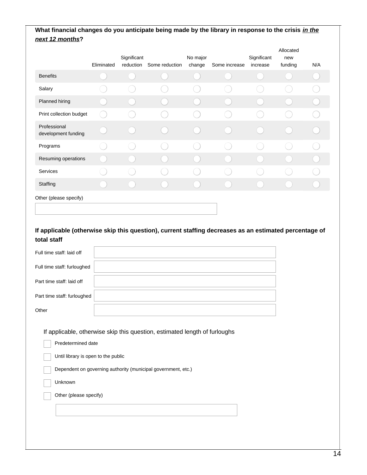## What financial changes do you anticipate being made by the library in response to the crisis in the *next 12 months***?**

|                                     | Eliminated | Significant<br>reduction | Some reduction | No major<br>change | Some increase | Significant<br>increase | Allocated<br>new<br>funding | N/A |
|-------------------------------------|------------|--------------------------|----------------|--------------------|---------------|-------------------------|-----------------------------|-----|
| <b>Benefits</b>                     |            |                          |                |                    |               |                         |                             |     |
| Salary                              |            |                          |                |                    |               |                         |                             |     |
| Planned hiring                      |            |                          |                |                    |               |                         |                             |     |
| Print collection budget             |            |                          |                |                    |               |                         |                             |     |
| Professional<br>development funding |            |                          |                |                    |               |                         |                             |     |
| Programs                            |            |                          |                |                    |               |                         |                             |     |
| Resuming operations                 |            |                          |                |                    |               |                         |                             |     |
| Services                            |            |                          |                |                    |               |                         |                             |     |
| Staffing                            |            |                          |                |                    |               |                         |                             |     |
| Other (please specify)              |            |                          |                |                    |               |                         |                             |     |

### **If applicable (otherwise skip this question), current staffing decreases as an estimated percentage of total staff**

| Full time staff: laid off                                                                      |                                                                                                                                             |  |
|------------------------------------------------------------------------------------------------|---------------------------------------------------------------------------------------------------------------------------------------------|--|
| Full time staff: furloughed                                                                    |                                                                                                                                             |  |
| Part time staff: laid off                                                                      |                                                                                                                                             |  |
| Part time staff: furloughed                                                                    |                                                                                                                                             |  |
| Other                                                                                          |                                                                                                                                             |  |
| Predetermined date<br>Until library is open to the public<br>Unknown<br>Other (please specify) | If applicable, otherwise skip this question, estimated length of furloughs<br>Dependent on governing authority (municipal government, etc.) |  |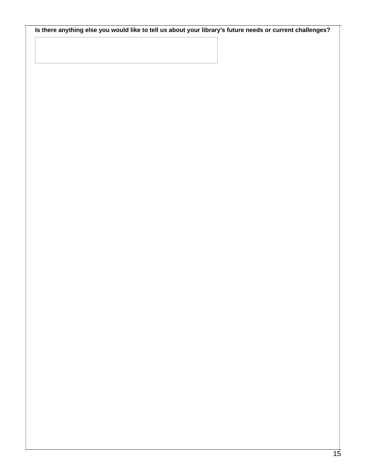Is there anything else you would like to tell us about your library's future needs or current challenges?